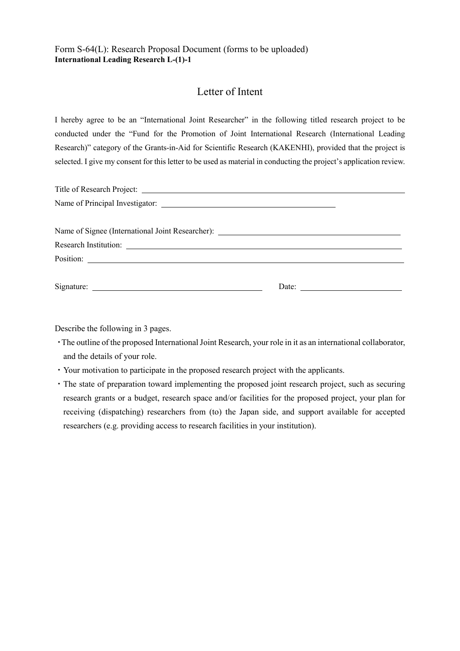## Letter of Intent

I hereby agree to be an "International Joint Researcher" in the following titled research project to be conducted under the "Fund for the Promotion of Joint International Research (International Leading Research)" category of the Grants-in-Aid for Scientific Research (KAKENHI), provided that the project is selected. I give my consent for this letter to be used as material in conducting the project's application review.

Describe the following in 3 pages.

- ・The outline of the proposed International Joint Research, your role in it as an international collaborator, and the details of your role.
- ・Your motivation to participate in the proposed research project with the applicants.
- ・The state of preparation toward implementing the proposed joint research project, such as securing research grants or a budget, research space and/or facilities for the proposed project, your plan for receiving (dispatching) researchers from (to) the Japan side, and support available for accepted researchers (e.g. providing access to research facilities in your institution).